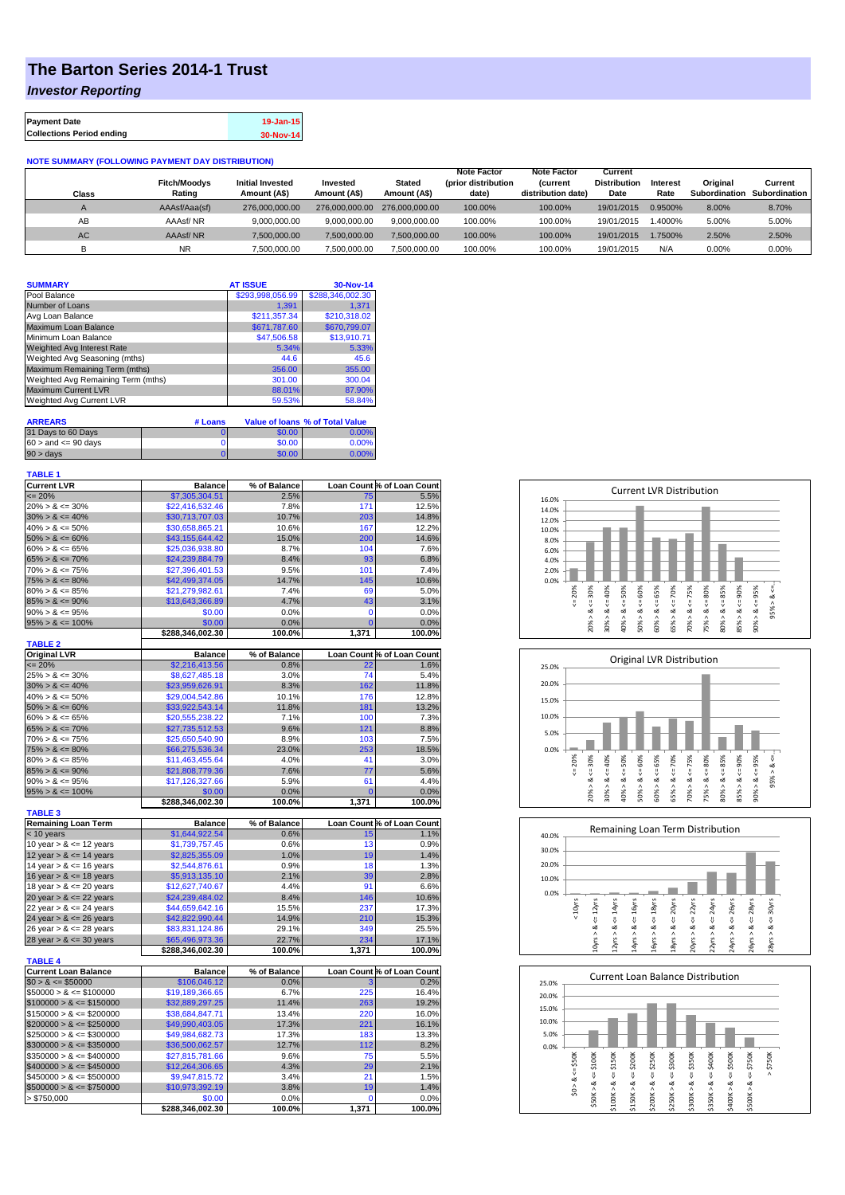## **The Barton Series 2014-1 Trust**

## *Investor Reporting*

| <b>Payment Date</b>              | 19-Jan-15 |
|----------------------------------|-----------|
| <b>Collections Period ending</b> | 30-Nov-14 |

**NOTE SUMMARY (FOLLOWING PAYMENT DAY DISTRIBUTION)**

| Class     | <b>Fitch/Moodys</b><br>Rating | <b>Initial Invested</b><br>Amount (A\$) | Invested<br>Amount (A\$) | <b>Stated</b><br>Amount (A\$) | <b>Note Factor</b><br>(prior distribution<br>date) | <b>Note Factor</b><br><b>Current</b><br>distribution date) | Current<br><b>Distribution</b><br>Date | Interest<br>Rate | Original<br>Subordination | Current<br><b>Subordination</b> |
|-----------|-------------------------------|-----------------------------------------|--------------------------|-------------------------------|----------------------------------------------------|------------------------------------------------------------|----------------------------------------|------------------|---------------------------|---------------------------------|
|           | AAAsf/Aaa(sf)                 | 276.000.000.00                          | 276,000,000,00           | 276,000,000,00                | 100.00%                                            | 100.00%                                                    | 19/01/2015                             | 0.9500%          | 8.00%                     | 8.70%                           |
| AB        | AAAsf/NR                      | 9.000.000.00                            | 9.000.000.00             | 9.000.000.00                  | 100.00%                                            | 100.00%                                                    | 19/01/2015                             | 1.4000%          | 5.00%                     | 5.00%                           |
| <b>AC</b> | AAAsf/NR                      | 7.500.000.00                            | 7.500.000.00             | 7,500,000.00                  | 100.00%                                            | 100.00%                                                    | 19/01/2015                             | 1.7500%          | 2.50%                     | 2.50%                           |
|           | <b>NR</b>                     | 7.500.000.00                            | 7.500.000.00             | 7.500.000.00                  | 100.00%                                            | 100.00%                                                    | 19/01/2015                             | N/A              | 0.00%                     | 0.00%                           |

| <b>SUMMARY</b>                     | <b>AT ISSUE</b>  | 30-Nov-14        |
|------------------------------------|------------------|------------------|
| Pool Balance                       | \$293,998,056.99 | \$288,346,002.30 |
| Number of Loans                    | 1,391            | 1.371            |
| Avg Loan Balance                   | \$211,357.34     | \$210,318.02     |
| Maximum Loan Balance               | \$671,787.60     | \$670,799.07     |
| Minimum Loan Balance               | \$47,506.58      | \$13,910.71      |
| <b>Weighted Avg Interest Rate</b>  | 5.34%            | 5.33%            |
| Weighted Avg Seasoning (mths)      | 44.6             | 45.6             |
| Maximum Remaining Term (mths)      | 356.00           | 355.00           |
| Weighted Avg Remaining Term (mths) | 301.00           | 300.04           |
| <b>Maximum Current LVR</b>         | 88.01%           | 87.90%           |
| Weighted Avg Current LVR           | 59.53%           | 58.84%           |

| <b>ARREARS</b>            | # Loans |        | Value of Ioans % of Total Value |
|---------------------------|---------|--------|---------------------------------|
| 31 Days to 60 Days        |         | \$0.00 | 0.00%                           |
| $60 >$ and $\leq 90$ days |         | \$0.00 | 0.00%                           |
| $90 > \text{days}$        |         | \$0.00 | 0.00%                           |

| <b>TABLE 1</b>                                  |                            |                |                |                            |
|-------------------------------------------------|----------------------------|----------------|----------------|----------------------------|
| <b>Current LVR</b>                              | <b>Balance</b>             | % of Balance   |                | Loan Count % of Loan Count |
| $\epsilon$ = 20%<br>20% > & $\epsilon$ = 30%    | \$7,305,304.51             | 2.5%           | 75             | 5.5%                       |
|                                                 | \$22,416,532.46            | 7.8%           | 171            | 12.5%                      |
| $30\% > 8 \le 40\%$                             | \$30,713,707.03            | 10.7%          | 203            | 14.8%                      |
| $40\% > 8 \le 50\%$                             | \$30,658,865.21            | 10.6%          | 167            | 12.2%                      |
| $50\% > 8 \le 60\%$                             | \$43,155,644.42            | 15.0%          | 200            | 14.6%                      |
| $60\% > 8 \le 65\%$                             | \$25,036,938.80            | 8.7%           | 104            | 7.6%                       |
| $65\% > 8 \le 70\%$                             | \$24,239,884.79            | 8.4%           | 93             | 6.8%                       |
| $70\% > 8 \le 75\%$                             | \$27,396,401.53            | 9.5%           | 101            | 7.4%                       |
| $75\% > 8 \le 80\%$                             | \$42,499,374.05            | 14.7%          | 145            | 10.6%                      |
| $80\% > 8 \le 85\%$                             | \$21,279,982.61            | 7.4%           | 69             | 5.0%                       |
| $85\% > 8 \le 90\%$                             | \$13,643,366.89            | 4.7%           | 43             | 3.1%                       |
| $90\% > 8 \le 95\%$                             | \$0.00                     | 0.0%           | $\mathbf 0$    | 0.0%                       |
| $95\% > 8 \le 100\%$                            | \$0.00                     | 0.0%           | $\overline{0}$ | 0.0%                       |
|                                                 | \$288,346,002.30           | 100.0%         | 1,371          | 100.0%                     |
| <b>TABLE 2</b>                                  |                            |                |                |                            |
| <b>Original LVR</b>                             | <b>Balance</b>             | % of Balance   |                | Loan Count % of Loan Count |
| $\epsilon = 20\%$                               | \$2,216,413.56             | 0.8%           | 22             | 1.6%                       |
| $25\% > 8 \le 30\%$                             | \$8,627,485.18             | 3.0%           | 74             | 5.4%                       |
| $30\% > 8 \le 40\%$                             | \$23,959,626.91            | 8.3%           | 162            | 11.8%                      |
| $40\% > 8 \le 50\%$                             | \$29,004,542.86            | 10.1%          | 176            | 12.8%                      |
| $50\% > 8 \le 60\%$                             | \$33,922,543.14            | 11.8%          | 181            | 13.2%                      |
| $60\% > 8 \le 65\%$                             | \$20,555,238.22            | 7.1%           | 100            | 7.3%                       |
| $65\% > 8 \le 70\%$                             | \$27,735,512.53            | 9.6%           | 121            | 8.8%                       |
| $70\% > 8 \le 75\%$                             | \$25,650,540.90            | 8.9%           | 103            | 7.5%                       |
| $75\% > 8 \le 80\%$                             | \$66,275,536.34            | 23.0%          | 253            | 18.5%                      |
| $80\% > 8 \le 85\%$                             | \$11,463,455.64            | 4.0%           | 41             | 3.0%                       |
| $85\% > 8 \le 90\%$                             | \$21,808,779.36            | 7.6%           | 77             | 5.6%                       |
| $90\% > 8 \le 95\%$                             | \$17,126,327.66            | 5.9%           | 61             | 4.4%                       |
| $95\% > 8 \le 100\%$                            | \$0.00<br>\$288.346.002.30 | 0.0%<br>100.0% | 0<br>1.371     | 0.0%<br>100.0%             |
| <b>TABLE 3</b>                                  |                            |                |                |                            |
| <b>Remaining Loan Term</b>                      | <b>Balance</b>             | % of Balance   |                | Loan Count % of Loan Count |
|                                                 | \$1,644,922.54             | 0.6%           | 15             | 1.1%                       |
| $<$ 10 years<br>10 year > & $<=$ 12 years       | \$1,739,757.45             | 0.6%           | 13             | 0.9%                       |
| 12 year $> 8 \le 14$ years                      | \$2,825,355.09             | 1.0%           | 19             | 1.4%                       |
| 14 year $> 8 \le 16$ years                      | \$2,544,876.61             | 0.9%           | 18             | 1.3%                       |
| 16 year $> 8 \le 18$ years                      | \$5,913,135.10             | 2.1%           | 39             | 2.8%                       |
| 18 year $> 8 \le 20$ years                      | \$12,627,740.67            | 4.4%           | 91             | 6.6%                       |
| 20 year $> 8 \le 22$ years                      | \$24,239,484.02            | 8.4%           | 146            | 10.6%                      |
| 22 year $> 8 \le 24$ years                      | \$44,659,642.16            | 15.5%          | 237            | 17.3%                      |
| $24 \text{ year} > 8 \le 26 \text{ years}$      | \$42,822,990.44            | 14.9%          | 210            | 15.3%                      |
| 26 year $> 8 \le 28$ years                      | \$83,831,124.86            | 29.1%          | 349            | 25.5%                      |
| 28 year $> 8 \le 30$ years                      | \$65,496,973.36            | 22.7%          | 234            | 17.1%                      |
|                                                 | \$288,346,002.30           | 100.0%         | 1,371          | 100.0%                     |
| <b>TABLE 4</b>                                  |                            |                |                |                            |
| <b>Current Loan Balance</b>                     | <b>Balance</b>             | % of Balance   |                | Loan Count % of Loan Count |
| $$0 > 8 \le $50000$<br>$$50000 > 8 \le $100000$ | \$106,046.12               | 0.0%           |                | 0.2%                       |
|                                                 | \$19,189,366.65            | 6.7%           | 225            | 16.4%                      |
| $$100000 > 8 \le $150000$                       | \$32,889,297.25            | 11.4%          | 263            | 19.2%                      |
| $$150000 > 8 \le $200000$                       | \$38,684,847.71            | 13.4%          | 220            | 16.0%                      |
| $$200000 > 8 \leq $250000$                      | \$49,990,403.05            | 17.3%          | 221            | 16.1%                      |
| $$250000 > 8 \le $300000$                       | \$49,984,682.73            | 17.3%          | 183            | 13.3%                      |
| $$300000 > 8 \leq $350000$                      | \$36,500,062.57            | 12.7%          | 112            | 8.2%                       |
| $$350000 > 8 \leq $400000$                      | \$27,815,781.66            | 9.6%           | 75             | 5.5%                       |
| $$400000 > 8 \leq $450000$                      | \$12,264,306.65            | 4.3%           | 29             | 2.1%                       |
| $$450000 > 8 \le $500000$                       | \$9,947,815.72             | 3.4%           | 21             | 1.5%                       |
| $$500000 > 8 \le $750000$                       | \$10,973,392.19            | 3.8%           | 19             | 1.4%                       |
| > \$750,000                                     | \$0.00                     | 0.0%           | $\mathbf 0$    | 0.0%                       |
|                                                 | \$288,346,002.30           | 100.0%         | 1,371          | 100.0%                     |